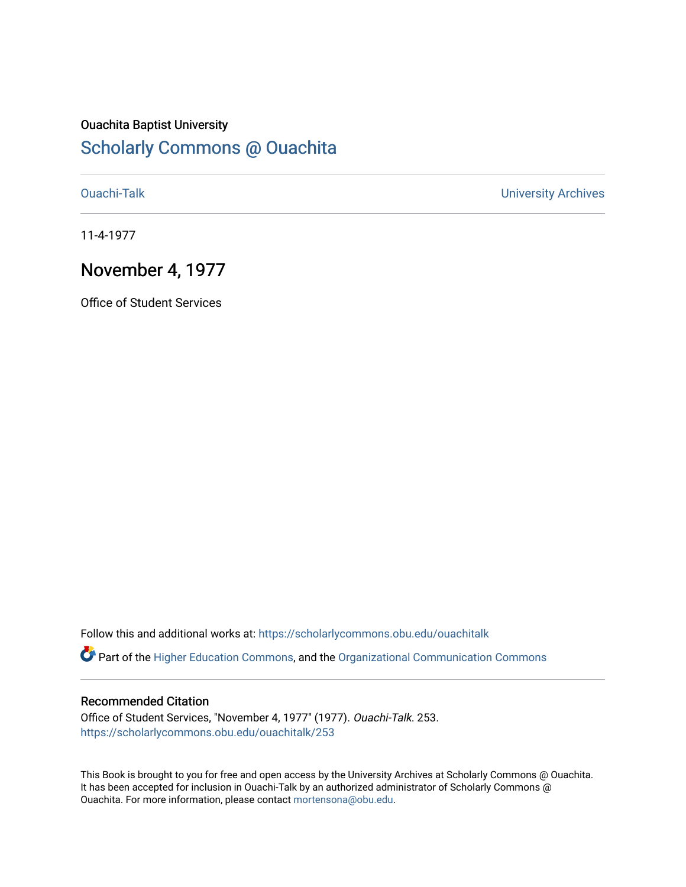### Ouachita Baptist University [Scholarly Commons @ Ouachita](https://scholarlycommons.obu.edu/)

[Ouachi-Talk](https://scholarlycommons.obu.edu/ouachitalk) [University Archives](https://scholarlycommons.obu.edu/universityarchives) 

11-4-1977

#### November 4, 1977

Office of Student Services

Follow this and additional works at: [https://scholarlycommons.obu.edu/ouachitalk](https://scholarlycommons.obu.edu/ouachitalk?utm_source=scholarlycommons.obu.edu%2Fouachitalk%2F253&utm_medium=PDF&utm_campaign=PDFCoverPages) 

Part of the [Higher Education Commons,](http://network.bepress.com/hgg/discipline/1245?utm_source=scholarlycommons.obu.edu%2Fouachitalk%2F253&utm_medium=PDF&utm_campaign=PDFCoverPages) and the [Organizational Communication Commons](http://network.bepress.com/hgg/discipline/335?utm_source=scholarlycommons.obu.edu%2Fouachitalk%2F253&utm_medium=PDF&utm_campaign=PDFCoverPages)

#### Recommended Citation

Office of Student Services, "November 4, 1977" (1977). Ouachi-Talk. 253. [https://scholarlycommons.obu.edu/ouachitalk/253](https://scholarlycommons.obu.edu/ouachitalk/253?utm_source=scholarlycommons.obu.edu%2Fouachitalk%2F253&utm_medium=PDF&utm_campaign=PDFCoverPages) 

This Book is brought to you for free and open access by the University Archives at Scholarly Commons @ Ouachita. It has been accepted for inclusion in Ouachi-Talk by an authorized administrator of Scholarly Commons @ Ouachita. For more information, please contact [mortensona@obu.edu](mailto:mortensona@obu.edu).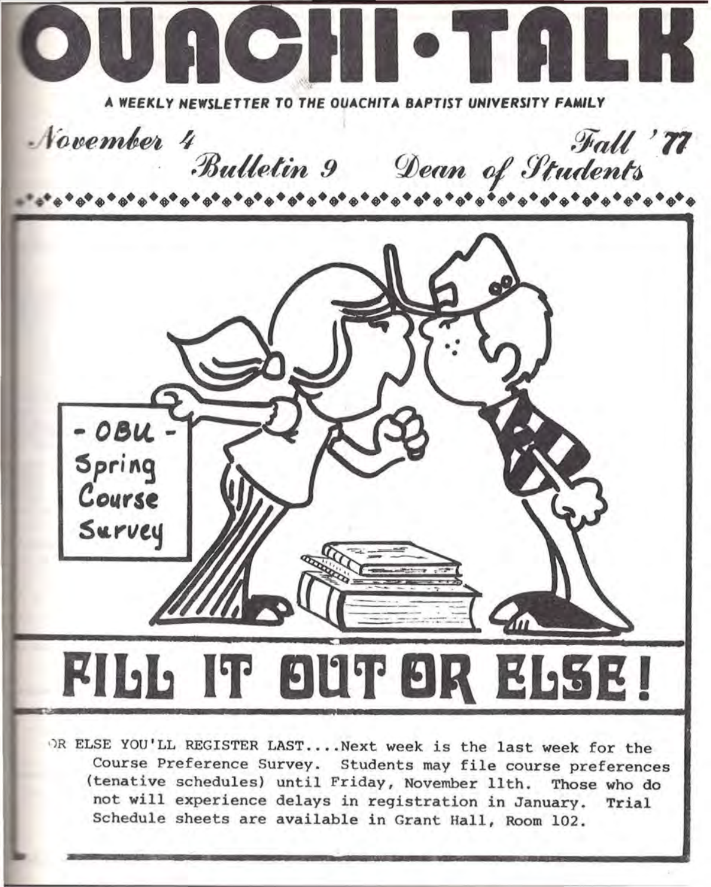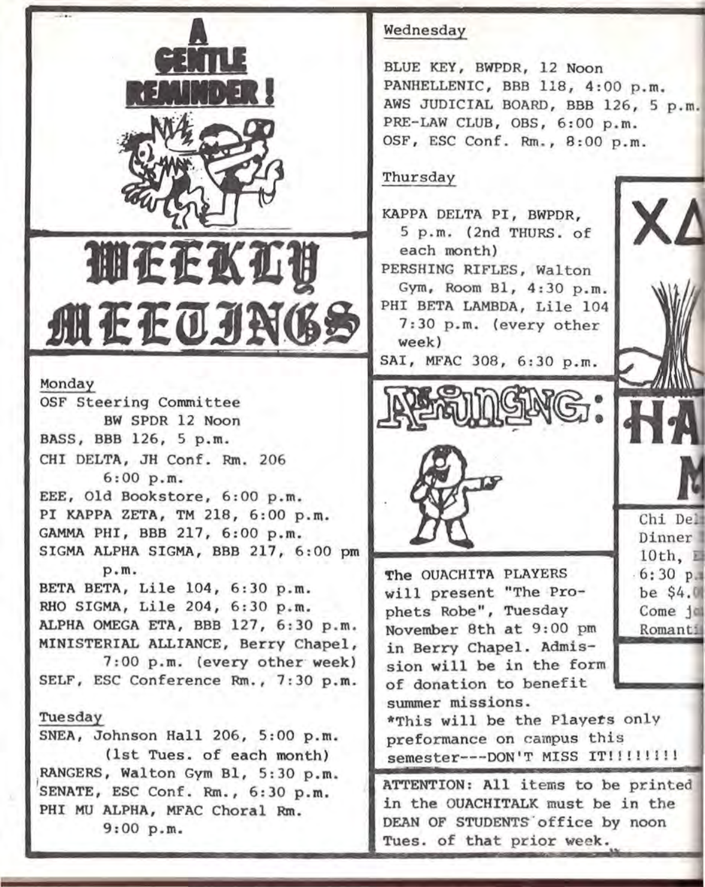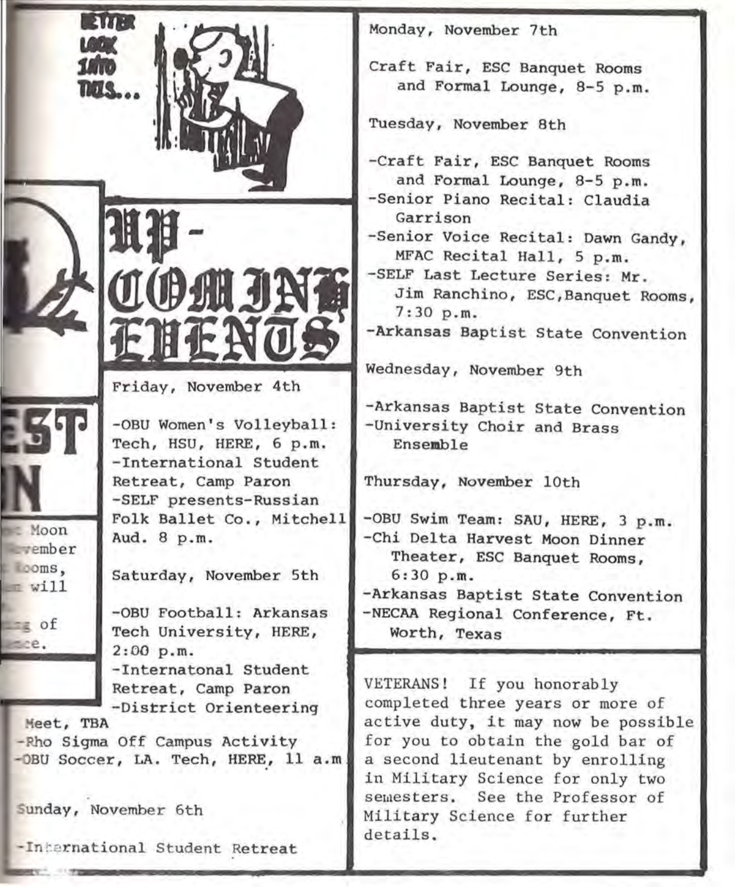

Monday, November 7th

Craft Fair, ESC Banquet Rooms and Formal Lounge, 8-5 p.m.

Tuesday, November 8th

-Craft Fair, ESC Banquet Rooms and Formal Lounge, 8-5 p.m.

-Senior Piano Recital: Claudia Garrison

-Senior Voice Recital: Dawn Gandy, MFAC Recital Hall, 5 p.m.

-SELF Last Lecture Series: Mr . Jim Ranchino, ESC,Banquet Rooms, 7:30 p.m.

**-Arkansas** Baptist State Convention

Wednesday, November 9th

-Arkansas Baptist State Convention -University Choir and Brass Ensemble

Thursday, November lOth

-OBU Swim Team: SAU, HERE, 3 p.m. -Chi Delta Harvest Moon Dinner Theater, ESC Banquet Rooms, 6:30p.m. -Arkansas Baptist State Convention

-NECAA Regional Conference, Ft. Worth, Texas

VETERANS! If you honorably completed three years or more of active duty, it may now be possible for you to obtain the gold bar of a second lieutenant by enrolling in Military Science for only two semesters. See the Professor of Military Science for further details.